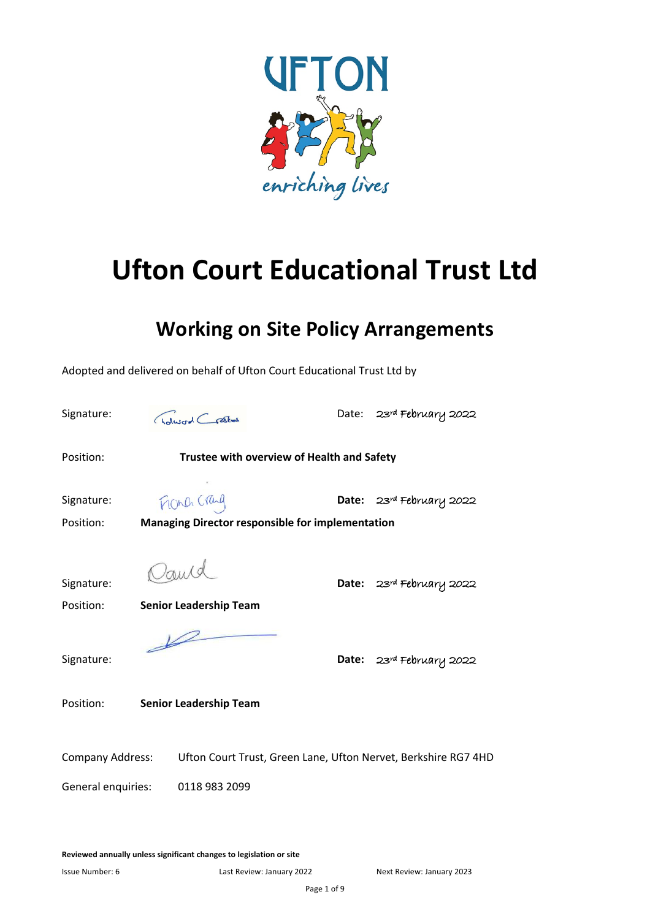

# **Ufton Court Educational Trust Ltd**

# **Working on Site Policy Arrangements**

Adopted and delivered on behalf of Ufton Court Educational Trust Ltd by Signature: Chalwerd Crasted Date: 23rd February 2022 Position: **Trustee with overview of Health and Safety**  Signature: **MORA CRILL Date:** 23rd February 2022 Position: **Managing Director responsible for implementation** Signature: **Date:** 23rd February 2022 Position: **Senior Leadership Team**  $\overline{\mathscr{L}}$ Signature: **Date:** 23rd February 2022 Position: **Senior Leadership Team** Company Address: Ufton Court Trust, Green Lane, Ufton Nervet, Berkshire RG7 4HD General enquiries: 0118 983 2099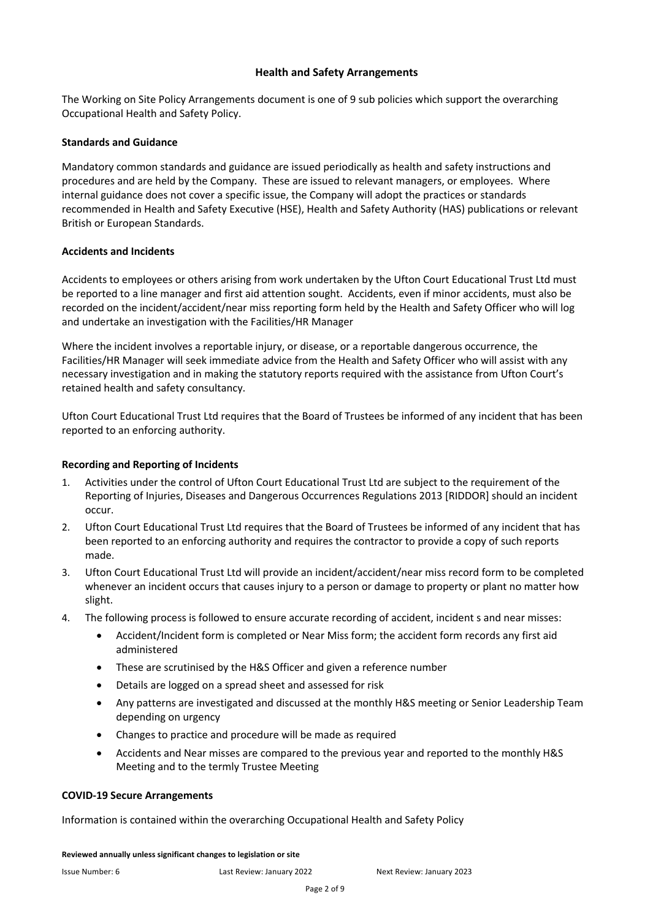#### **Health and Safety Arrangements**

The Working on Site Policy Arrangements document is one of 9 sub policies which support the overarching Occupational Health and Safety Policy.

#### **Standards and Guidance**

Mandatory common standards and guidance are issued periodically as health and safety instructions and procedures and are held by the Company. These are issued to relevant managers, or employees. Where internal guidance does not cover a specific issue, the Company will adopt the practices or standards recommended in Health and Safety Executive (HSE), Health and Safety Authority (HAS) publications or relevant British or European Standards.

#### **Accidents and Incidents**

Accidents to employees or others arising from work undertaken by the Ufton Court Educational Trust Ltd must be reported to a line manager and first aid attention sought. Accidents, even if minor accidents, must also be recorded on the incident/accident/near miss reporting form held by the Health and Safety Officer who will log and undertake an investigation with the Facilities/HR Manager

Where the incident involves a reportable injury, or disease, or a reportable dangerous occurrence, the Facilities/HR Manager will seek immediate advice from the Health and Safety Officer who will assist with any necessary investigation and in making the statutory reports required with the assistance from Ufton Court's retained health and safety consultancy.

Ufton Court Educational Trust Ltd requires that the Board of Trustees be informed of any incident that has been reported to an enforcing authority.

#### **Recording and Reporting of Incidents**

- 1. Activities under the control of Ufton Court Educational Trust Ltd are subject to the requirement of the Reporting of Injuries, Diseases and Dangerous Occurrences Regulations 2013 [RIDDOR] should an incident occur.
- 2. Ufton Court Educational Trust Ltd requires that the Board of Trustees be informed of any incident that has been reported to an enforcing authority and requires the contractor to provide a copy of such reports made.
- 3. Ufton Court Educational Trust Ltd will provide an incident/accident/near miss record form to be completed whenever an incident occurs that causes injury to a person or damage to property or plant no matter how slight.
- 4. The following process is followed to ensure accurate recording of accident, incident s and near misses:
	- Accident/Incident form is completed or Near Miss form; the accident form records any first aid administered
	- These are scrutinised by the H&S Officer and given a reference number
	- Details are logged on a spread sheet and assessed for risk
	- Any patterns are investigated and discussed at the monthly H&S meeting or Senior Leadership Team depending on urgency
	- Changes to practice and procedure will be made as required
	- Accidents and Near misses are compared to the previous year and reported to the monthly H&S Meeting and to the termly Trustee Meeting

#### **COVID-19 Secure Arrangements**

Information is contained within the overarching Occupational Health and Safety Policy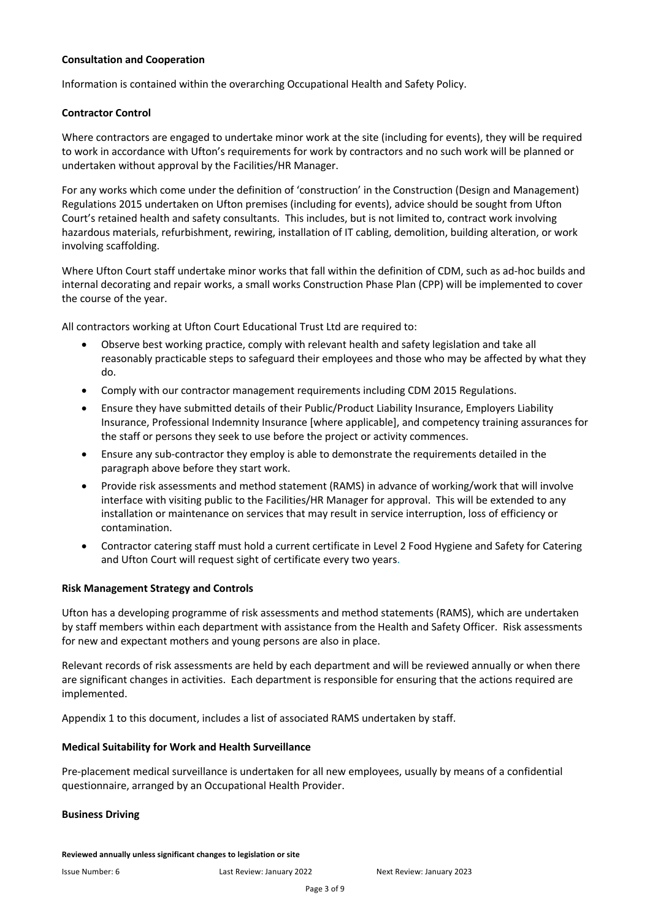#### **Consultation and Cooperation**

Information is contained within the overarching Occupational Health and Safety Policy.

#### **Contractor Control**

Where contractors are engaged to undertake minor work at the site (including for events), they will be required to work in accordance with Ufton's requirements for work by contractors and no such work will be planned or undertaken without approval by the Facilities/HR Manager.

For any works which come under the definition of 'construction' in the Construction (Design and Management) Regulations 2015 undertaken on Ufton premises (including for events), advice should be sought from Ufton Court's retained health and safety consultants. This includes, but is not limited to, contract work involving hazardous materials, refurbishment, rewiring, installation of IT cabling, demolition, building alteration, or work involving scaffolding.

Where Ufton Court staff undertake minor works that fall within the definition of CDM, such as ad-hoc builds and internal decorating and repair works, a small works Construction Phase Plan (CPP) will be implemented to cover the course of the year.

All contractors working at Ufton Court Educational Trust Ltd are required to:

- Observe best working practice, comply with relevant health and safety legislation and take all reasonably practicable steps to safeguard their employees and those who may be affected by what they do.
- Comply with our contractor management requirements including CDM 2015 Regulations.
- Ensure they have submitted details of their Public/Product Liability Insurance, Employers Liability Insurance, Professional Indemnity Insurance [where applicable], and competency training assurances for the staff or persons they seek to use before the project or activity commences.
- Ensure any sub-contractor they employ is able to demonstrate the requirements detailed in the paragraph above before they start work.
- Provide risk assessments and method statement (RAMS) in advance of working/work that will involve interface with visiting public to the Facilities/HR Manager for approval. This will be extended to any installation or maintenance on services that may result in service interruption, loss of efficiency or contamination.
- Contractor catering staff must hold a current certificate in Level 2 Food Hygiene and Safety for Catering and Ufton Court will request sight of certificate every two years.

#### **Risk Management Strategy and Controls**

Ufton has a developing programme of risk assessments and method statements (RAMS), which are undertaken by staff members within each department with assistance from the Health and Safety Officer. Risk assessments for new and expectant mothers and young persons are also in place.

Relevant records of risk assessments are held by each department and will be reviewed annually or when there are significant changes in activities. Each department is responsible for ensuring that the actions required are implemented.

Appendix 1 to this document, includes a list of associated RAMS undertaken by staff.

#### **Medical Suitability for Work and Health Surveillance**

Pre-placement medical surveillance is undertaken for all new employees, usually by means of a confidential questionnaire, arranged by an Occupational Health Provider.

#### **Business Driving**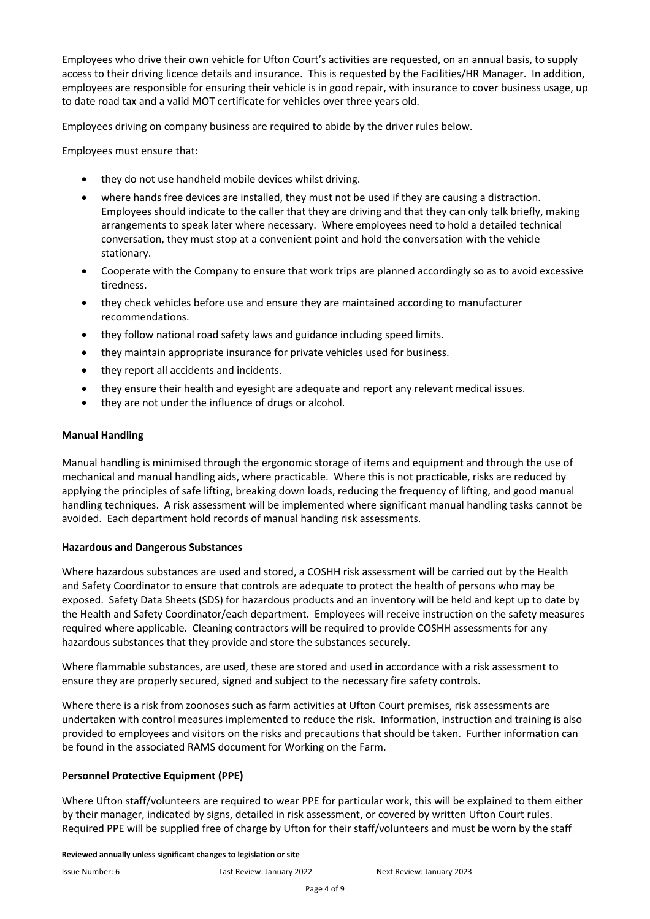Employees who drive their own vehicle for Ufton Court's activities are requested, on an annual basis, to supply access to their driving licence details and insurance. This is requested by the Facilities/HR Manager. In addition, employees are responsible for ensuring their vehicle is in good repair, with insurance to cover business usage, up to date road tax and a valid MOT certificate for vehicles over three years old.

Employees driving on company business are required to abide by the driver rules below.

Employees must ensure that:

- they do not use handheld mobile devices whilst driving.
- where hands free devices are installed, they must not be used if they are causing a distraction. Employees should indicate to the caller that they are driving and that they can only talk briefly, making arrangements to speak later where necessary. Where employees need to hold a detailed technical conversation, they must stop at a convenient point and hold the conversation with the vehicle stationary.
- Cooperate with the Company to ensure that work trips are planned accordingly so as to avoid excessive tiredness.
- they check vehicles before use and ensure they are maintained according to manufacturer recommendations.
- they follow national road safety laws and guidance including speed limits.
- they maintain appropriate insurance for private vehicles used for business.
- they report all accidents and incidents.
- they ensure their health and eyesight are adequate and report any relevant medical issues.
- they are not under the influence of drugs or alcohol.

#### **Manual Handling**

Manual handling is minimised through the ergonomic storage of items and equipment and through the use of mechanical and manual handling aids, where practicable. Where this is not practicable, risks are reduced by applying the principles of safe lifting, breaking down loads, reducing the frequency of lifting, and good manual handling techniques. A risk assessment will be implemented where significant manual handling tasks cannot be avoided. Each department hold records of manual handing risk assessments.

#### **Hazardous and Dangerous Substances**

Where hazardous substances are used and stored, a COSHH risk assessment will be carried out by the Health and Safety Coordinator to ensure that controls are adequate to protect the health of persons who may be exposed. Safety Data Sheets (SDS) for hazardous products and an inventory will be held and kept up to date by the Health and Safety Coordinator/each department. Employees will receive instruction on the safety measures required where applicable. Cleaning contractors will be required to provide COSHH assessments for any hazardous substances that they provide and store the substances securely.

Where flammable substances, are used, these are stored and used in accordance with a risk assessment to ensure they are properly secured, signed and subject to the necessary fire safety controls.

Where there is a risk from zoonoses such as farm activities at Ufton Court premises, risk assessments are undertaken with control measures implemented to reduce the risk. Information, instruction and training is also provided to employees and visitors on the risks and precautions that should be taken. Further information can be found in the associated RAMS document for Working on the Farm.

#### **Personnel Protective Equipment (PPE)**

Where Ufton staff/volunteers are required to wear PPE for particular work, this will be explained to them either by their manager, indicated by signs, detailed in risk assessment, or covered by written Ufton Court rules. Required PPE will be supplied free of charge by Ufton for their staff/volunteers and must be worn by the staff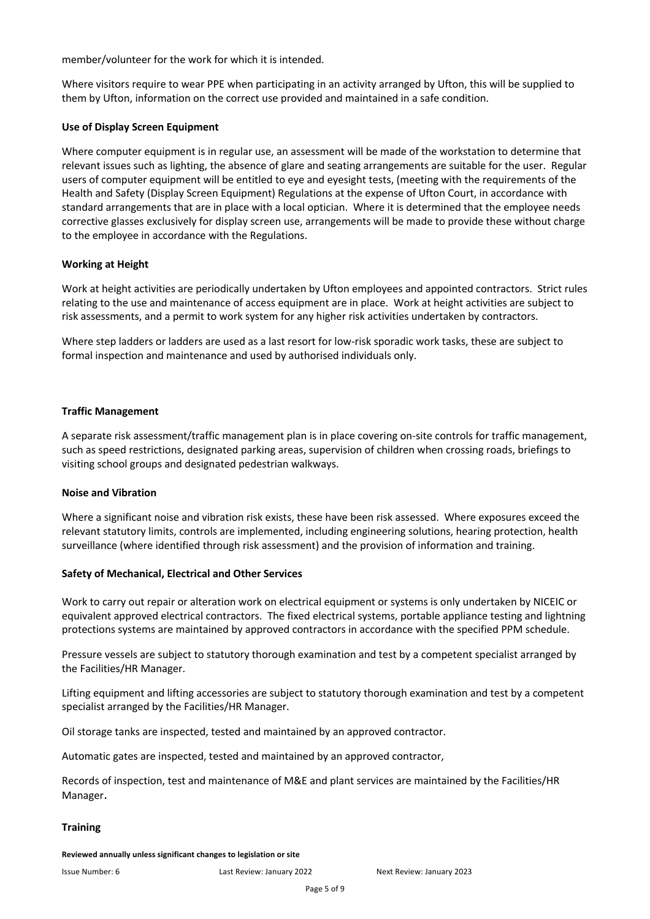member/volunteer for the work for which it is intended.

Where visitors require to wear PPE when participating in an activity arranged by Ufton, this will be supplied to them by Ufton, information on the correct use provided and maintained in a safe condition.

#### **Use of Display Screen Equipment**

Where computer equipment is in regular use, an assessment will be made of the workstation to determine that relevant issues such as lighting, the absence of glare and seating arrangements are suitable for the user. Regular users of computer equipment will be entitled to eye and eyesight tests, (meeting with the requirements of the Health and Safety (Display Screen Equipment) Regulations at the expense of Ufton Court, in accordance with standard arrangements that are in place with a local optician. Where it is determined that the employee needs corrective glasses exclusively for display screen use, arrangements will be made to provide these without charge to the employee in accordance with the Regulations.

#### **Working at Height**

Work at height activities are periodically undertaken by Ufton employees and appointed contractors. Strict rules relating to the use and maintenance of access equipment are in place. Work at height activities are subject to risk assessments, and a permit to work system for any higher risk activities undertaken by contractors.

Where step ladders or ladders are used as a last resort for low-risk sporadic work tasks, these are subject to formal inspection and maintenance and used by authorised individuals only.

#### **Traffic Management**

A separate risk assessment/traffic management plan is in place covering on-site controls for traffic management, such as speed restrictions, designated parking areas, supervision of children when crossing roads, briefings to visiting school groups and designated pedestrian walkways.

#### **Noise and Vibration**

Where a significant noise and vibration risk exists, these have been risk assessed. Where exposures exceed the relevant statutory limits, controls are implemented, including engineering solutions, hearing protection, health surveillance (where identified through risk assessment) and the provision of information and training.

#### **Safety of Mechanical, Electrical and Other Services**

Work to carry out repair or alteration work on electrical equipment or systems is only undertaken by NICEIC or equivalent approved electrical contractors. The fixed electrical systems, portable appliance testing and lightning protections systems are maintained by approved contractors in accordance with the specified PPM schedule.

Pressure vessels are subject to statutory thorough examination and test by a competent specialist arranged by the Facilities/HR Manager.

Lifting equipment and lifting accessories are subject to statutory thorough examination and test by a competent specialist arranged by the Facilities/HR Manager.

Oil storage tanks are inspected, tested and maintained by an approved contractor.

Automatic gates are inspected, tested and maintained by an approved contractor,

Records of inspection, test and maintenance of M&E and plant services are maintained by the Facilities/HR Manager.

#### **Training**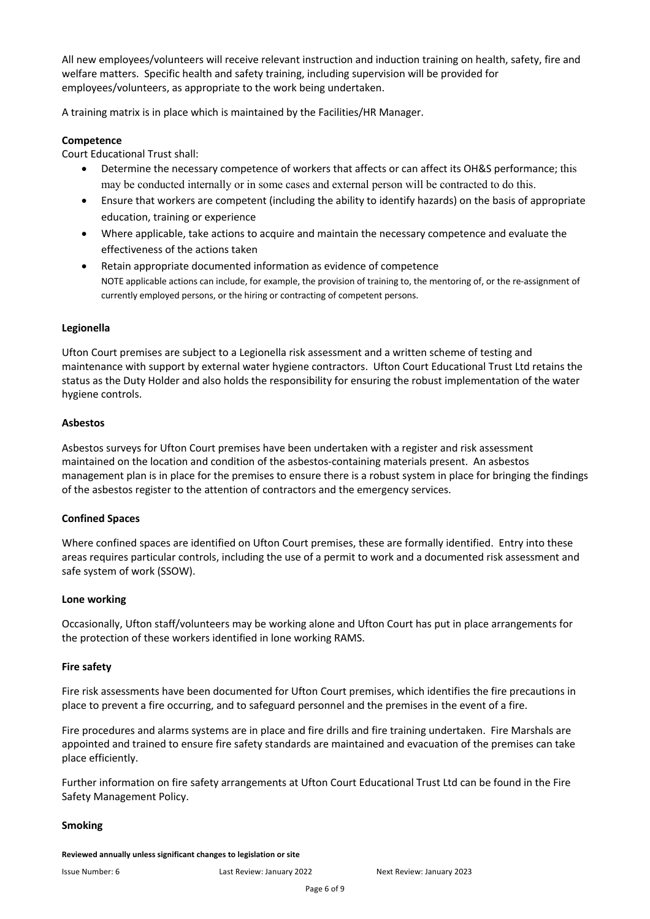All new employees/volunteers will receive relevant instruction and induction training on health, safety, fire and welfare matters. Specific health and safety training, including supervision will be provided for employees/volunteers, as appropriate to the work being undertaken.

A training matrix is in place which is maintained by the Facilities/HR Manager.

#### **Competence**

Court Educational Trust shall:

- Determine the necessary competence of workers that affects or can affect its OH&S performance; this may be conducted internally or in some cases and external person will be contracted to do this.
- Ensure that workers are competent (including the ability to identify hazards) on the basis of appropriate education, training or experience
- Where applicable, take actions to acquire and maintain the necessary competence and evaluate the effectiveness of the actions taken
- Retain appropriate documented information as evidence of competence NOTE applicable actions can include, for example, the provision of training to, the mentoring of, or the re-assignment of currently employed persons, or the hiring or contracting of competent persons.

#### **Legionella**

Ufton Court premises are subject to a Legionella risk assessment and a written scheme of testing and maintenance with support by external water hygiene contractors. Ufton Court Educational Trust Ltd retains the status as the Duty Holder and also holds the responsibility for ensuring the robust implementation of the water hygiene controls.

#### **Asbestos**

Asbestos surveys for Ufton Court premises have been undertaken with a register and risk assessment maintained on the location and condition of the asbestos-containing materials present. An asbestos management plan is in place for the premises to ensure there is a robust system in place for bringing the findings of the asbestos register to the attention of contractors and the emergency services.

#### **Confined Spaces**

Where confined spaces are identified on Ufton Court premises, these are formally identified. Entry into these areas requires particular controls, including the use of a permit to work and a documented risk assessment and safe system of work (SSOW).

#### **Lone working**

Occasionally, Ufton staff/volunteers may be working alone and Ufton Court has put in place arrangements for the protection of these workers identified in lone working RAMS.

#### **Fire safety**

Fire risk assessments have been documented for Ufton Court premises, which identifies the fire precautions in place to prevent a fire occurring, and to safeguard personnel and the premises in the event of a fire.

Fire procedures and alarms systems are in place and fire drills and fire training undertaken. Fire Marshals are appointed and trained to ensure fire safety standards are maintained and evacuation of the premises can take place efficiently.

Further information on fire safety arrangements at Ufton Court Educational Trust Ltd can be found in the Fire Safety Management Policy.

#### **Smoking**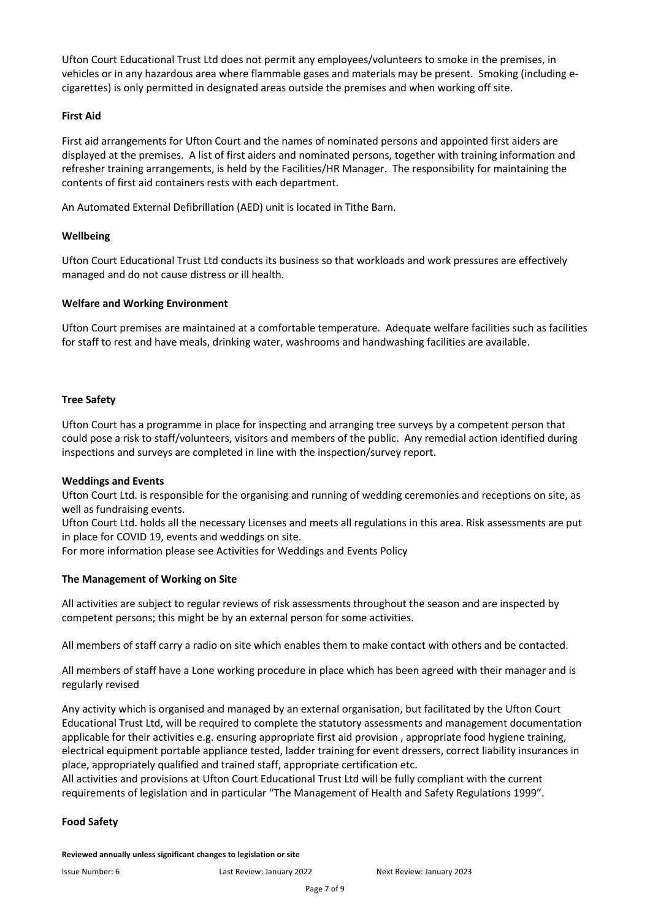Ufton Court Educational Trust Ltd does not permit any employees/volunteers to smoke in the premises, in vehicles or in any hazardous area where flammable gases and materials may be present. Smoking (including ecigarettes) is only permitted in designated areas outside the premises and when working off site.

#### **First Aid**

First aid arrangements for Ufton Court and the names of nominated persons and appointed first aiders are displayed at the premises. A list of first aiders and nominated persons, together with training information and refresher training arrangements, is held by the Facilities/HR Manager. The responsibility for maintaining the contents of first aid containers rests with each department.

An Automated External Defibrillation (AED) unit is located in Tithe Barn.

#### **Wellbeing**

Ufton Court Educational Trust Ltd conducts its business so that workloads and work pressures are effectively managed and do not cause distress or ill health.

#### **Welfare and Working Environment**

Ufton Court premises are maintained at a comfortable temperature. Adequate welfare facilities such as facilities for staff to rest and have meals, drinking water, washrooms and handwashing facilities are available.

#### **Tree Safety**

Ufton Court has a programme in place for inspecting and arranging tree surveys by a competent person that could pose a risk to staff/volunteers, visitors and members of the public. Any remedial action identified during inspections and surveys are completed in line with the inspection/survey report.

#### **Weddings and Events**

Ufton Court Ltd. is responsible for the organising and running of wedding ceremonies and receptions on site, as well as fundraising events.

Ufton Court Ltd. holds all the necessary Licenses and meets all regulations in this area. Risk assessments are put in place for COVID 19, events and weddings on site.

For more information please see Activities for Weddings and Events Policy

#### **The Management of Working on Site**

All activities are subject to regular reviews of risk assessments throughout the season and are inspected by competent persons; this might be by an external person for some activities.

All members of staff carry a radio on site which enables them to make contact with others and be contacted.

All members of staff have a Lone working procedure in place which has been agreed with their manager and is regularly revised

Any activity which is organised and managed by an external organisation, but facilitated by the Ufton Court Educational Trust Ltd, will be required to complete the statutory assessments and management documentation applicable for their activities e.g. ensuring appropriate first aid provision , appropriate food hygiene training, electrical equipment portable appliance tested, ladder training for event dressers, correct liability insurances in place, appropriately qualified and trained staff, appropriate certification etc.

All activities and provisions at Ufton Court Educational Trust Ltd will be fully compliant with the current requirements of legislation and in particular "The Management of Health and Safety Regulations 1999".

#### **Food Safety**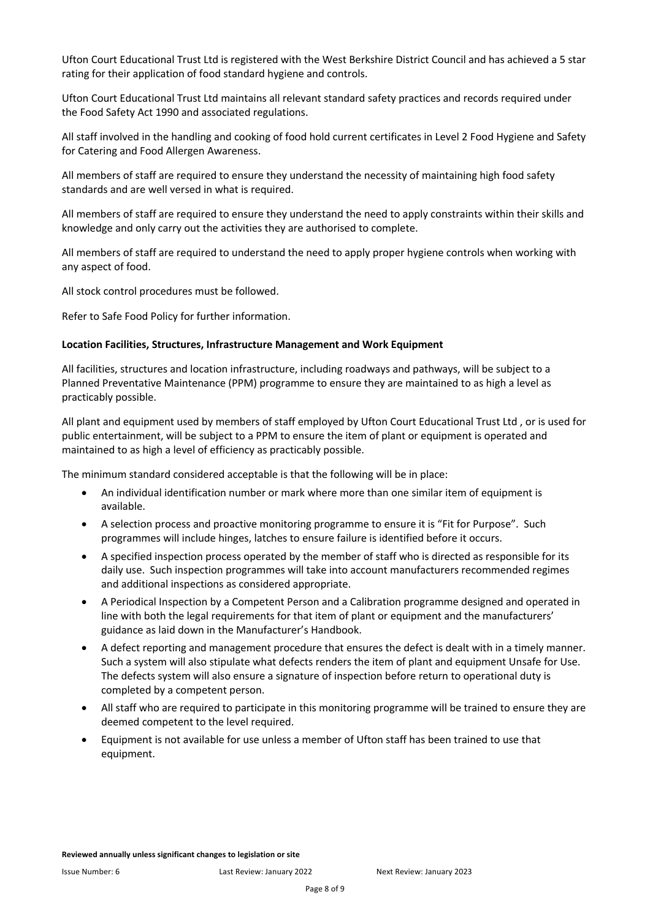Ufton Court Educational Trust Ltd is registered with the West Berkshire District Council and has achieved a 5 star rating for their application of food standard hygiene and controls.

Ufton Court Educational Trust Ltd maintains all relevant standard safety practices and records required under the Food Safety Act 1990 and associated regulations.

All staff involved in the handling and cooking of food hold current certificates in Level 2 Food Hygiene and Safety for Catering and Food Allergen Awareness.

All members of staff are required to ensure they understand the necessity of maintaining high food safety standards and are well versed in what is required.

All members of staff are required to ensure they understand the need to apply constraints within their skills and knowledge and only carry out the activities they are authorised to complete.

All members of staff are required to understand the need to apply proper hygiene controls when working with any aspect of food.

All stock control procedures must be followed.

Refer to Safe Food Policy for further information.

#### **Location Facilities, Structures, Infrastructure Management and Work Equipment**

All facilities, structures and location infrastructure, including roadways and pathways, will be subject to a Planned Preventative Maintenance (PPM) programme to ensure they are maintained to as high a level as practicably possible.

All plant and equipment used by members of staff employed by Ufton Court Educational Trust Ltd , or is used for public entertainment, will be subject to a PPM to ensure the item of plant or equipment is operated and maintained to as high a level of efficiency as practicably possible.

The minimum standard considered acceptable is that the following will be in place:

- An individual identification number or mark where more than one similar item of equipment is available.
- A selection process and proactive monitoring programme to ensure it is "Fit for Purpose". Such programmes will include hinges, latches to ensure failure is identified before it occurs.
- A specified inspection process operated by the member of staff who is directed as responsible for its daily use. Such inspection programmes will take into account manufacturers recommended regimes and additional inspections as considered appropriate.
- A Periodical Inspection by a Competent Person and a Calibration programme designed and operated in line with both the legal requirements for that item of plant or equipment and the manufacturers' guidance as laid down in the Manufacturer's Handbook.
- A defect reporting and management procedure that ensures the defect is dealt with in a timely manner. Such a system will also stipulate what defects renders the item of plant and equipment Unsafe for Use. The defects system will also ensure a signature of inspection before return to operational duty is completed by a competent person.
- All staff who are required to participate in this monitoring programme will be trained to ensure they are deemed competent to the level required.
- Equipment is not available for use unless a member of Ufton staff has been trained to use that equipment.